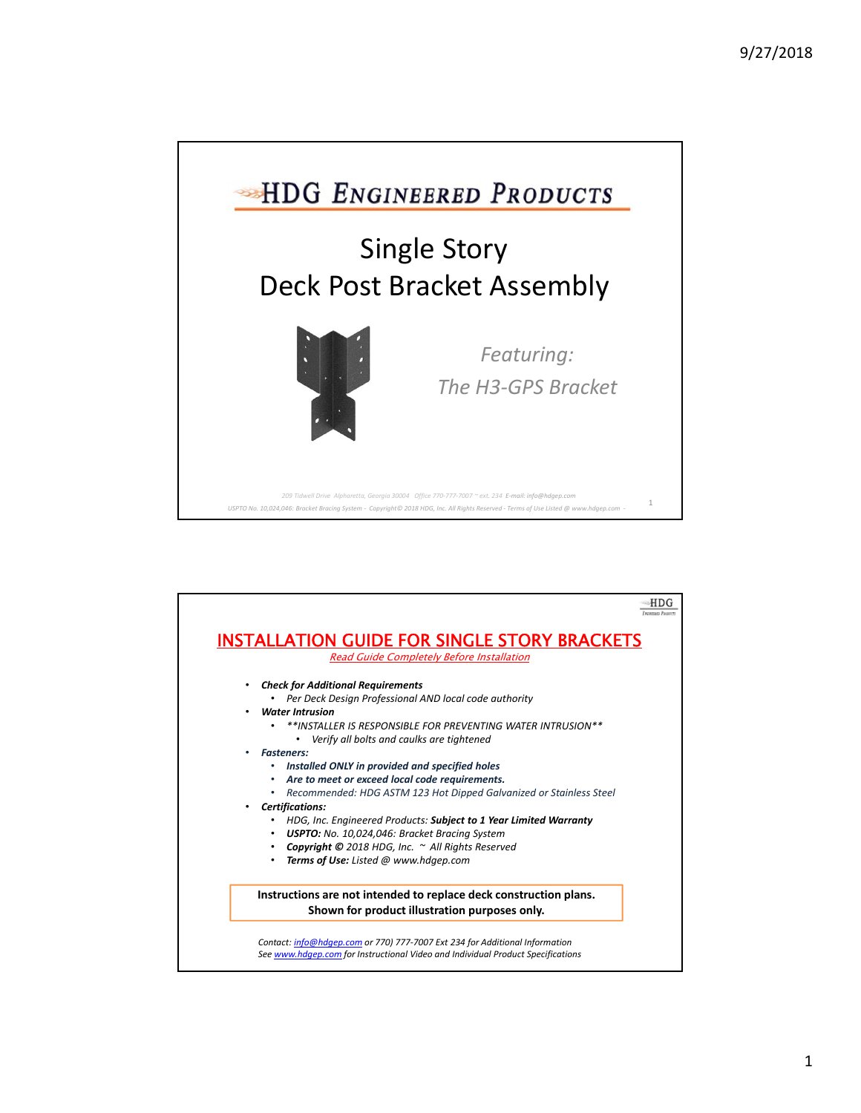

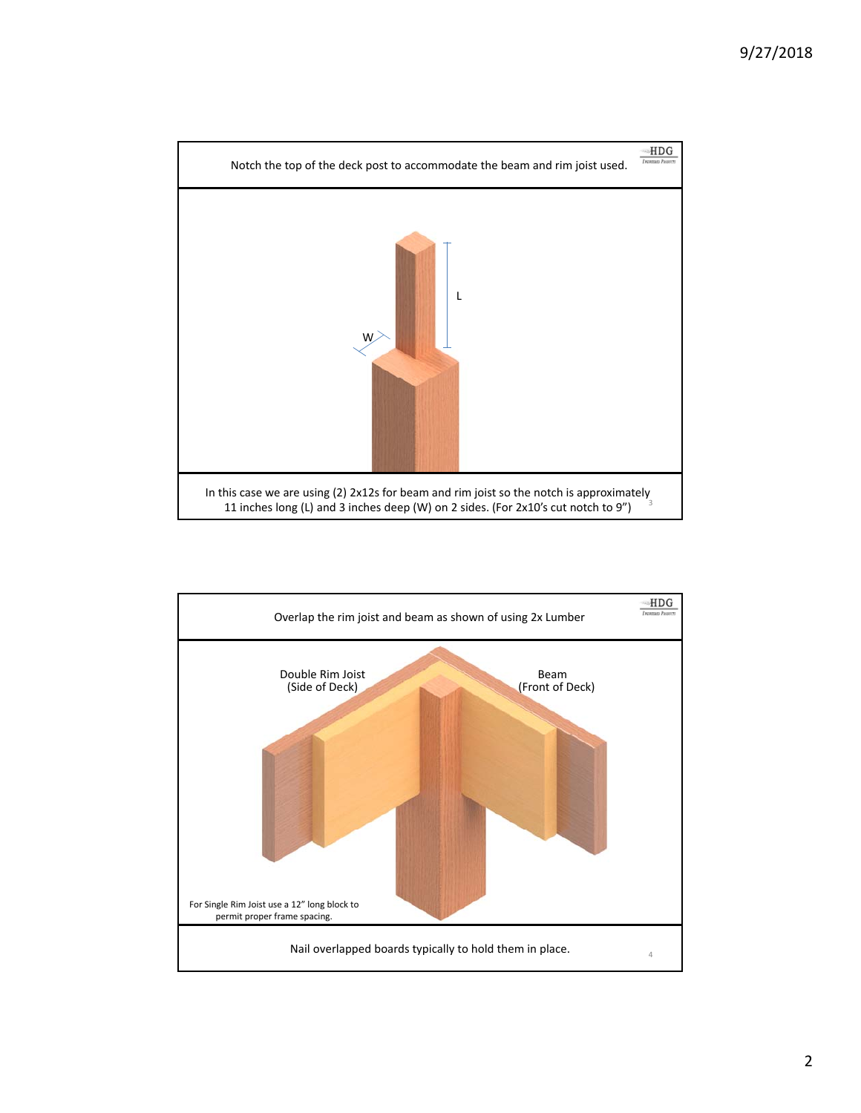

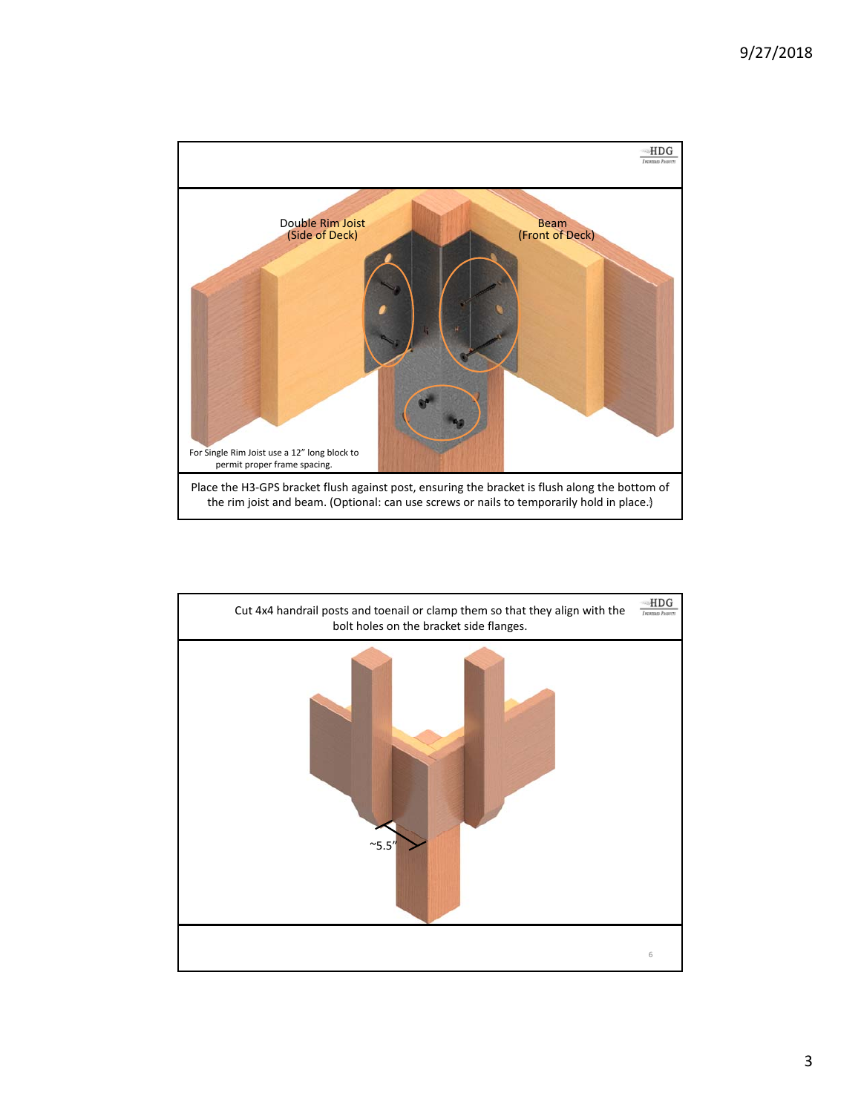

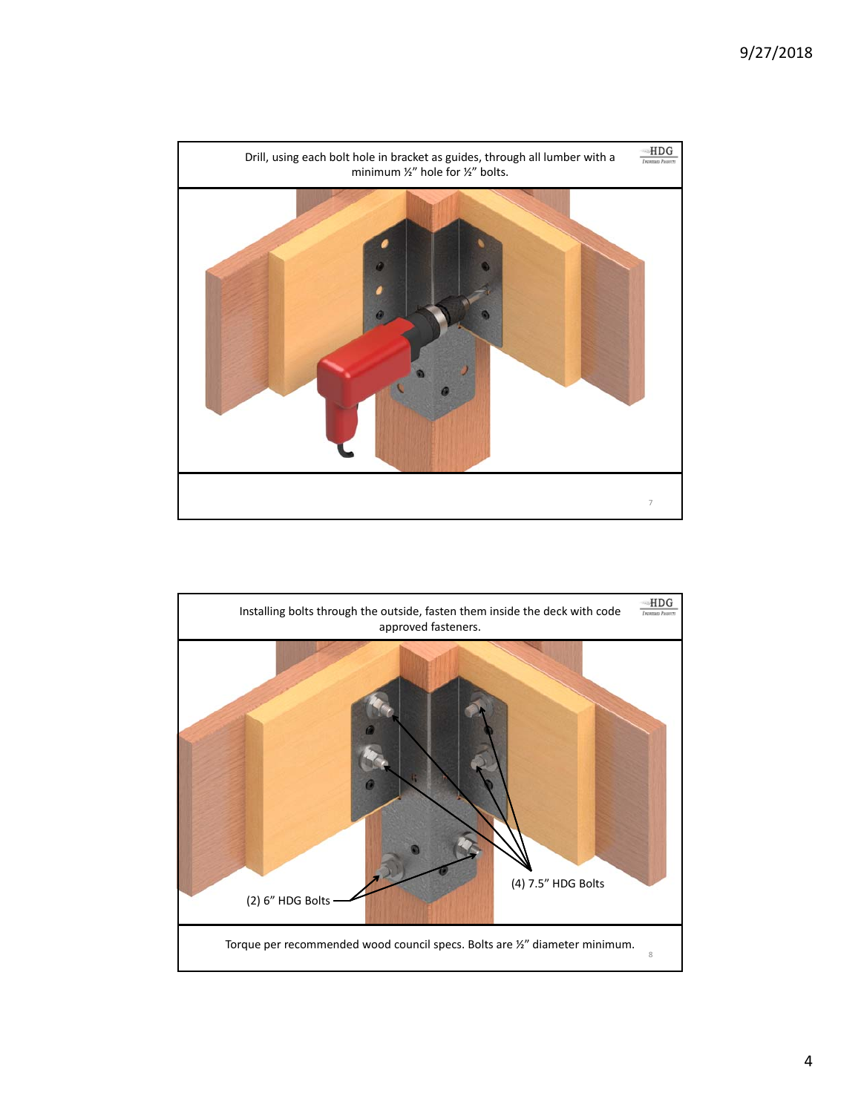

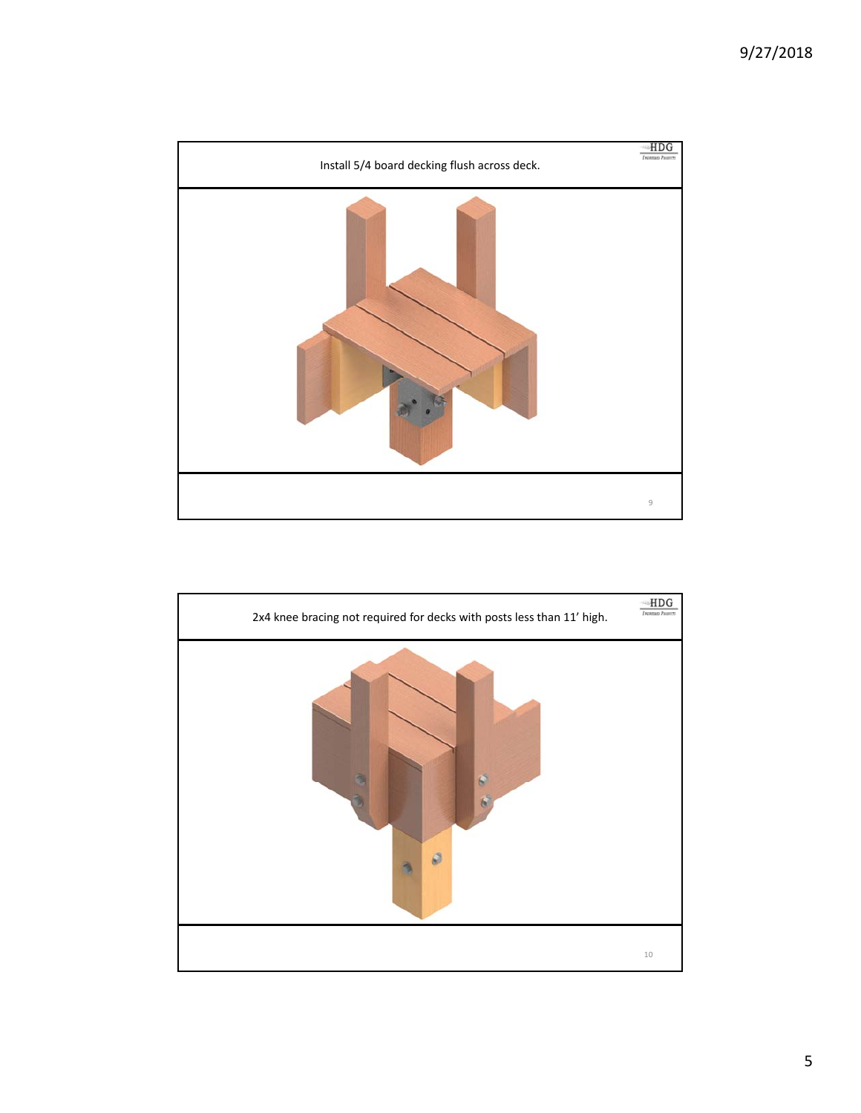